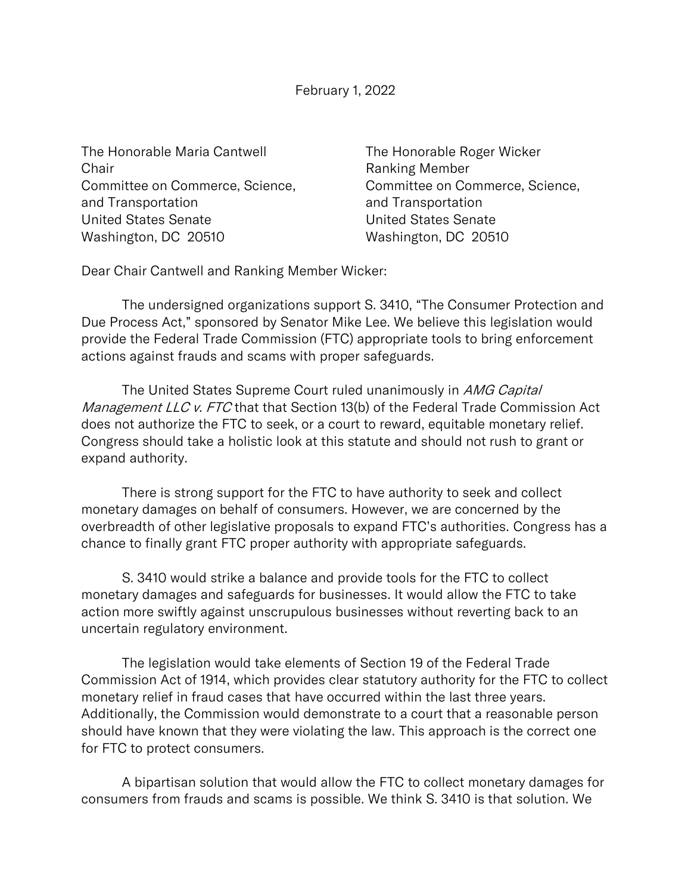The Honorable Maria Cantwell The Honorable Roger Wicker Chair **Chair** Chair **Ranking Member** and Transportation and Transportation United States Senate United States Senate Washington, DC 20510 Washington, DC 20510

Committee on Commerce, Science, Committee on Commerce, Science,

Dear Chair Cantwell and Ranking Member Wicker:

The undersigned organizations support S. 3410, "The Consumer Protection and Due Process Act," sponsored by Senator Mike Lee. We believe this legislation would provide the Federal Trade Commission (FTC) appropriate tools to bring enforcement actions against frauds and scams with proper safeguards.

The United States Supreme Court ruled unanimously in AMG Capital Management LLC v. FTC that that Section 13(b) of the Federal Trade Commission Act does not authorize the FTC to seek, or a court to reward, equitable monetary relief. Congress should take a holistic look at this statute and should not rush to grant or expand authority.

There is strong support for the FTC to have authority to seek and collect monetary damages on behalf of consumers. However, we are concerned by the overbreadth of other legislative proposals to expand FTC's authorities. Congress has a chance to finally grant FTC proper authority with appropriate safeguards.

S. 3410 would strike a balance and provide tools for the FTC to collect monetary damages and safeguards for businesses. It would allow the FTC to take action more swiftly against unscrupulous businesses without reverting back to an uncertain regulatory environment.

The legislation would take elements of Section 19 of the Federal Trade Commission Act of 1914, which provides clear statutory authority for the FTC to collect monetary relief in fraud cases that have occurred within the last three years. Additionally, the Commission would demonstrate to a court that a reasonable person should have known that they were violating the law. This approach is the correct one for FTC to protect consumers.

A bipartisan solution that would allow the FTC to collect monetary damages for consumers from frauds and scams is possible. We think S. 3410 is that solution. We